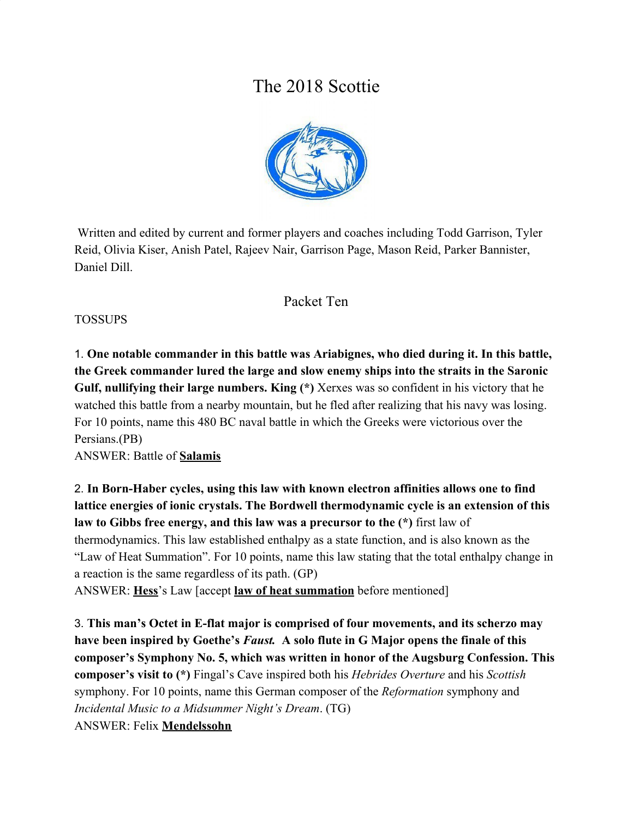# The 2018 Scottie



 Written and edited by current and former players and coaches including Todd Garrison, Tyler Reid, Olivia Kiser, Anish Patel, Rajeev Nair, Garrison Page, Mason Reid, Parker Bannister, Daniel Dill.

## Packet Ten

#### TOSSUPS

1. **One notable commander in this battle was Ariabignes, who died during it. In this battle, the Greek commander lured the large and slow enemy ships into the straits in the Saronic Gulf, nullifying their large numbers. King (\*)** Xerxes was so confident in his victory that he watched this battle from a nearby mountain, but he fled after realizing that his navy was losing. For 10 points, name this 480 BC naval battle in which the Greeks were victorious over the Persians.(PB)

ANSWER: Battle of **Salamis**

2. **In Born-Haber cycles, using this law with known electron affinities allows one to find lattice energies of ionic crystals. The Bordwell thermodynamic cycle is an extension of this law to Gibbs free energy, and this law was a precursor to the (\*)** first law of thermodynamics. This law established enthalpy as a state function, and is also known as the "Law of Heat Summation". For 10 points, name this law stating that the total enthalpy change in a reaction is the same regardless of its path. (GP)

ANSWER: **Hess**'s Law [accept **law of heat summation** before mentioned]

3. **This man's Octet in E-flat major is comprised of four movements, and its scherzo may have been inspired by Goethe's** *Faust.* **A solo flute in G Major opens the finale of this composer's Symphony No. 5, which was written in honor of the Augsburg Confession. This composer's visit to (\*)** Fingal's Cave inspired both his *Hebrides Overture* and his *Scottish* symphony. For 10 points, name this German composer of the *Reformation* symphony and *Incidental Music to a Midsummer Night's Dream*. (TG) ANSWER: Felix **Mendelssohn**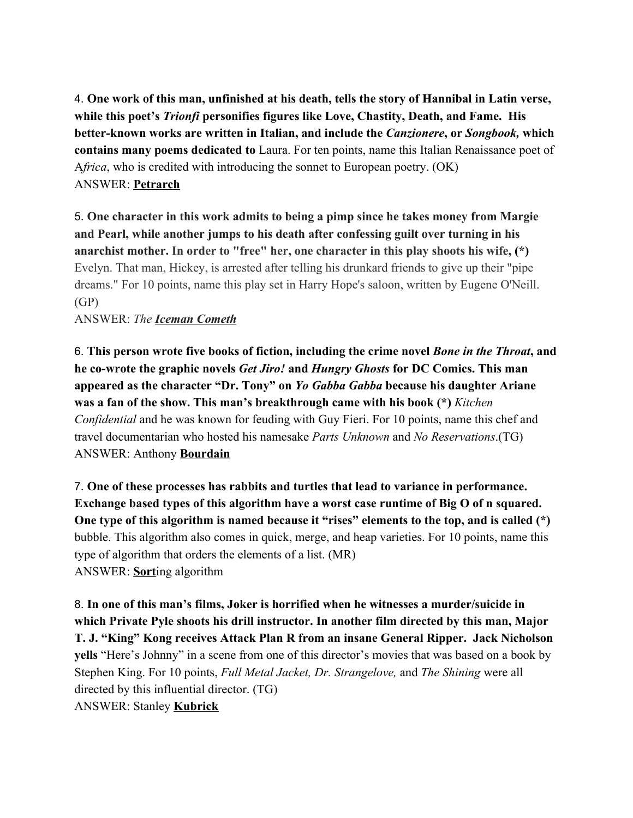4. **One work of this man, unfinished at his death, tells the story of Hannibal in Latin verse, while this poet's** *Trionfi* **personifies figures like Love, Chastity, Death, and Fame. His better-known works are written in Italian, and include the** *Canzionere***, or** *Songbook,* **which contains many poems dedicated to** Laura. For ten points, name this Italian Renaissance poet of A*frica*, who is credited with introducing the sonnet to European poetry. (OK) ANSWER: **Petrarch**

5. **One character in this work admits to being a pimp since he takes money from Margie and Pearl, while another jumps to his death after confessing guilt over turning in his anarchist mother. In order to "free" her, one character in this play shoots his wife, (\*)** Evelyn. That man, Hickey, is arrested after telling his drunkard friends to give up their "pipe dreams." For 10 points, name this play set in Harry Hope's saloon, written by Eugene O'Neill. (GP)

ANSWER: *The Iceman Cometh*

6. **This person wrote five books of fiction, including the crime novel** *Bone in the Throat***, and he co-wrote the graphic novels** *Get Jiro!* **and** *Hungry Ghosts* **for DC Comics. This man appeared as the character "Dr. Tony" on** *Yo Gabba Gabba* **because his daughter Ariane was a fan of the show. This man's breakthrough came with his book (\*)** *Kitchen Confidential* and he was known for feuding with Guy Fieri. For 10 points, name this chef and travel documentarian who hosted his namesake *Parts Unknown* and *No Reservations*.(TG) ANSWER: Anthony **Bourdain**

7. **One of these processes has rabbits and turtles that lead to variance in performance. Exchange based types of this algorithm have a worst case runtime of Big O of n squared. One type of this algorithm is named because it "rises" elements to the top, and is called (\*)** bubble. This algorithm also comes in quick, merge, and heap varieties. For 10 points, name this type of algorithm that orders the elements of a list. (MR) ANSWER: **Sort**ing algorithm

8. **In one of this man's films, Joker is horrified when he witnesses a murder/suicide in which Private Pyle shoots his drill instructor. In another film directed by this man, Major T. J. "King" Kong receives Attack Plan R from an insane General Ripper. Jack Nicholson yells** "Here's Johnny" in a scene from one of this director's movies that was based on a book by Stephen King. For 10 points, *Full Metal Jacket, Dr. Strangelove,* and *The Shining* were all directed by this influential director. (TG) ANSWER: Stanley **Kubrick**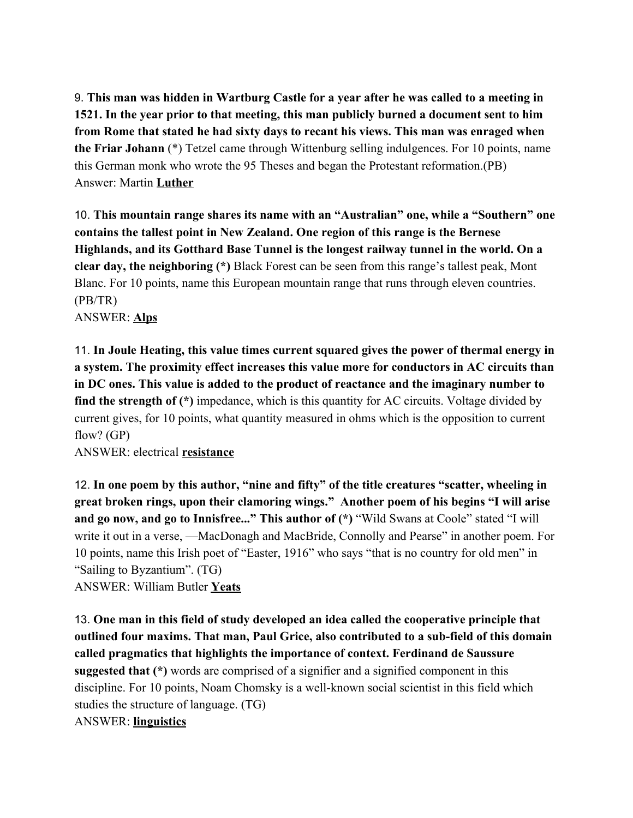9. **This man was hidden in Wartburg Castle for a year after he was called to a meeting in 1521. In the year prior to that meeting, this man publicly burned a document sent to him from Rome that stated he had sixty days to recant his views. This man was enraged when the Friar Johann** (\*) Tetzel came through Wittenburg selling indulgences. For 10 points, name this German monk who wrote the 95 Theses and began the Protestant reformation.(PB) Answer: Martin **Luther**

10. **This mountain range shares its name with an "Australian" one, while a "Southern" one contains the tallest point in New Zealand. One region of this range is the Bernese Highlands, and its Gotthard Base Tunnel is the longest railway tunnel in the world. On a clear day, the neighboring (\*)** Black Forest can be seen from this range's tallest peak, Mont Blanc. For 10 points, name this European mountain range that runs through eleven countries. (PB/TR)

ANSWER: **Alps**

11. **In Joule Heating, this value times current squared gives the power of thermal energy in a system. The proximity effect increases this value more for conductors in AC circuits than in DC ones. This value is added to the product of reactance and the imaginary number to find the strength of (\*)** impedance, which is this quantity for AC circuits. Voltage divided by current gives, for 10 points, what quantity measured in ohms which is the opposition to current flow? (GP)

ANSWER: electrical **resistance**

12. **In one poem by this author, "nine and fifty" of the title creatures "scatter, wheeling in great broken rings, upon their clamoring wings." Another poem of his begins "I will arise and go now, and go to Innisfree..." This author of (\*)** "Wild Swans at Coole" stated "I will write it out in a verse, —MacDonagh and MacBride, Connolly and Pearse" in another poem. For 10 points, name this Irish poet of "Easter, 1916" who says "that is no country for old men" in "Sailing to Byzantium". (TG)

ANSWER: William Butler **Yeats**

13. **One man in this field of study developed an idea called the cooperative principle that outlined four maxims. That man, Paul Grice, also contributed to a sub-field of this domain called pragmatics that highlights the importance of context. Ferdinand de Saussure suggested that (\*)** words are comprised of a signifier and a signified component in this discipline. For 10 points, Noam Chomsky is a well-known social scientist in this field which studies the structure of language. (TG) ANSWER: **linguistics**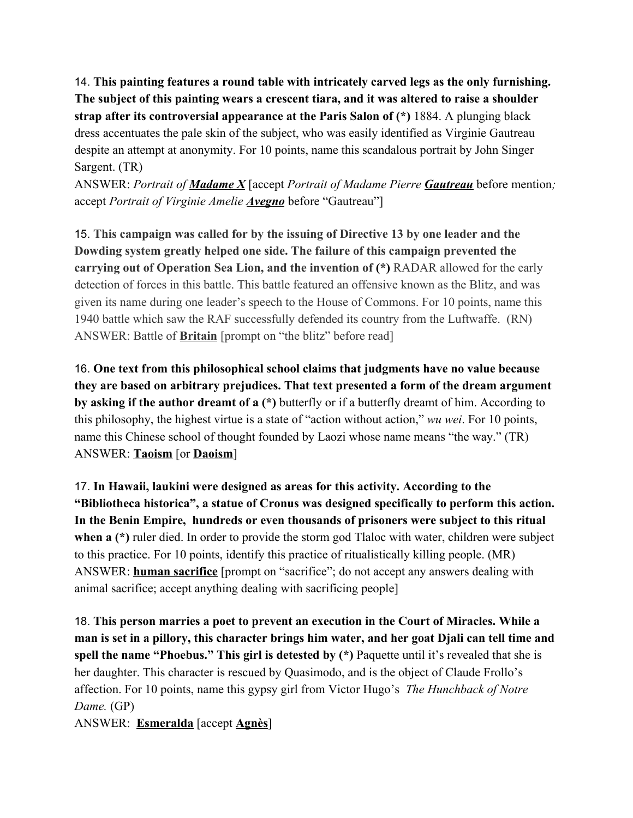14. **This painting features a round table with intricately carved legs as the only furnishing. The subject of this painting wears a crescent tiara, and it was altered to raise a shoulder strap after its controversial appearance at the Paris Salon of (\*)** 1884. A plunging black dress accentuates the pale skin of the subject, who was easily identified as Virginie Gautreau despite an attempt at anonymity. For 10 points, name this scandalous portrait by John Singer Sargent. (TR)

ANSWER: *Portrait of Madame X* [accept *Portrait of Madame Pierre Gautreau* before mention*;* accept *Portrait of Virginie Amelie Avegno* before "Gautreau"]

15. **This campaign was called for by the issuing of Directive 13 by one leader and the Dowding system greatly helped one side. The failure of this campaign prevented the carrying out of Operation Sea Lion, and the invention of (\*)** RADAR allowed for the early detection of forces in this battle. This battle featured an offensive known as the Blitz, and was given its name during one leader's speech to the House of Commons. For 10 points, name this 1940 battle which saw the RAF successfully defended its country from the Luftwaffe. (RN) ANSWER: Battle of **Britain** [prompt on "the blitz" before read]

16. **One text from this philosophical school claims that judgments have no value because they are based on arbitrary prejudices. That text presented a form of the dream argument by asking if the author dreamt of a (\*)** butterfly or if a butterfly dreamt of him. According to this philosophy, the highest virtue is a state of "action without action," *wu wei*. For 10 points, name this Chinese school of thought founded by Laozi whose name means "the way." (TR) ANSWER: **Taoism** [or **Daoism**]

17. **In Hawaii, laukini were designed as areas for this activity. According to the "Bibliotheca historica", a statue of Cronus was designed specifically to perform this action. In the Benin Empire, hundreds or even thousands of prisoners were subject to this ritual** when a (\*) ruler died. In order to provide the storm god Tlaloc with water, children were subject to this practice. For 10 points, identify this practice of ritualistically killing people. (MR) ANSWER: **human sacrifice** [prompt on "sacrifice"; do not accept any answers dealing with animal sacrifice; accept anything dealing with sacrificing people]

18. **This person marries a poet to prevent an execution in the Court of Miracles. While a man is set in a pillory, this character brings him water, and her goat Djali can tell time and spell the name "Phoebus." This girl is detested by (\*)** Paquette until it's revealed that she is her daughter. This character is rescued by Quasimodo, and is the object of Claude Frollo's affection. For 10 points, name this gypsy girl from Victor Hugo's *The Hunchback of Notre Dame.* (GP)

ANSWER: **Esmeralda** [accept **Agnès**]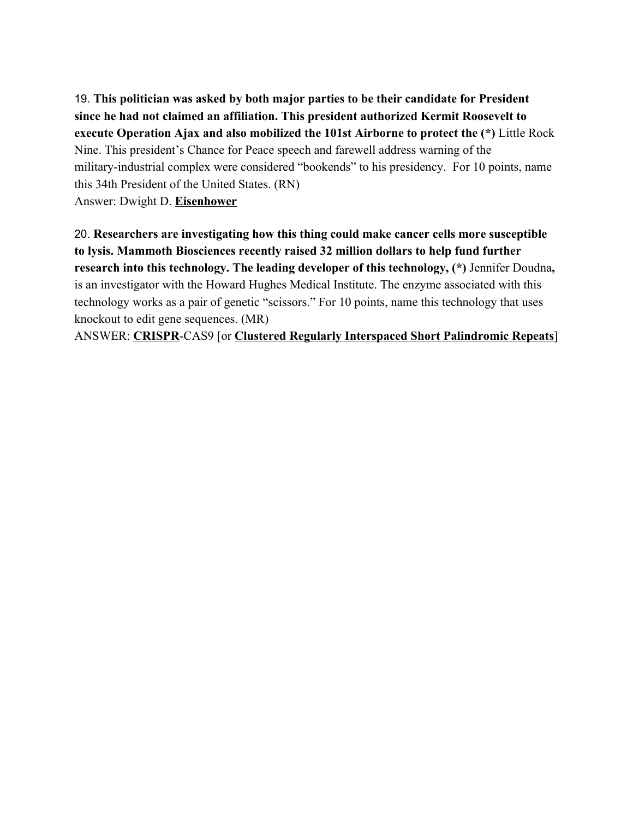19. **This politician was asked by both major parties to be their candidate for President since he had not claimed an affiliation. This president authorized Kermit Roosevelt to execute Operation Ajax and also mobilized the 101st Airborne to protect the (\*)** Little Rock Nine. This president's Chance for Peace speech and farewell address warning of the military-industrial complex were considered "bookends" to his presidency. For 10 points, name this 34th President of the United States. (RN) Answer: Dwight D. **Eisenhower**

20. **Researchers are investigating how this thing could make cancer cells more susceptible to lysis. Mammoth Biosciences recently raised 32 million dollars to help fund further research into this technology. The leading developer of this technology, (\*)** Jennifer Doudna**,** is an investigator with the Howard Hughes Medical Institute. The enzyme associated with this technology works as a pair of genetic "scissors." For 10 points, name this technology that uses knockout to edit gene sequences. (MR)

ANSWER: **CRISPR**-CAS9 [or **Clustered Regularly Interspaced Short Palindromic Repeats**]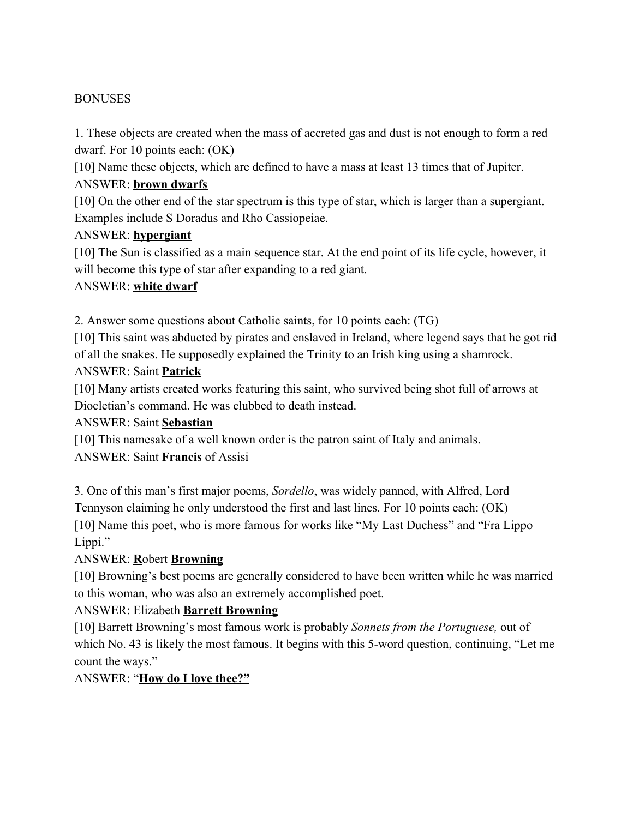#### **BONUSES**

1. These objects are created when the mass of accreted gas and dust is not enough to form a red dwarf. For 10 points each: (OK)

[10] Name these objects, which are defined to have a mass at least 13 times that of Jupiter.

#### ANSWER: **brown dwarfs**

[10] On the other end of the star spectrum is this type of star, which is larger than a supergiant. Examples include S Doradus and Rho Cassiopeiae.

#### ANSWER: **hypergiant**

[10] The Sun is classified as a main sequence star. At the end point of its life cycle, however, it will become this type of star after expanding to a red giant.

#### ANSWER: **white dwarf**

2. Answer some questions about Catholic saints, for 10 points each: (TG)

[10] This saint was abducted by pirates and enslaved in Ireland, where legend says that he got rid of all the snakes. He supposedly explained the Trinity to an Irish king using a shamrock.

#### ANSWER: Saint **Patrick**

[10] Many artists created works featuring this saint, who survived being shot full of arrows at Diocletian's command. He was clubbed to death instead.

#### ANSWER: Saint **Sebastian**

[10] This namesake of a well known order is the patron saint of Italy and animals. ANSWER: Saint **Francis** of Assisi

3. One of this man's first major poems, *Sordello*, was widely panned, with Alfred, Lord Tennyson claiming he only understood the first and last lines. For 10 points each: (OK) [10] Name this poet, who is more famous for works like "My Last Duchess" and "Fra Lippo Lippi."

## ANSWER: **R**obert **Browning**

[10] Browning's best poems are generally considered to have been written while he was married to this woman, who was also an extremely accomplished poet.

## ANSWER: Elizabeth **Barrett Browning**

[10] Barrett Browning's most famous work is probably *Sonnets from the Portuguese,* out of which No. 43 is likely the most famous. It begins with this 5-word question, continuing, "Let me count the ways."

#### ANSWER: "**How do I love thee?"**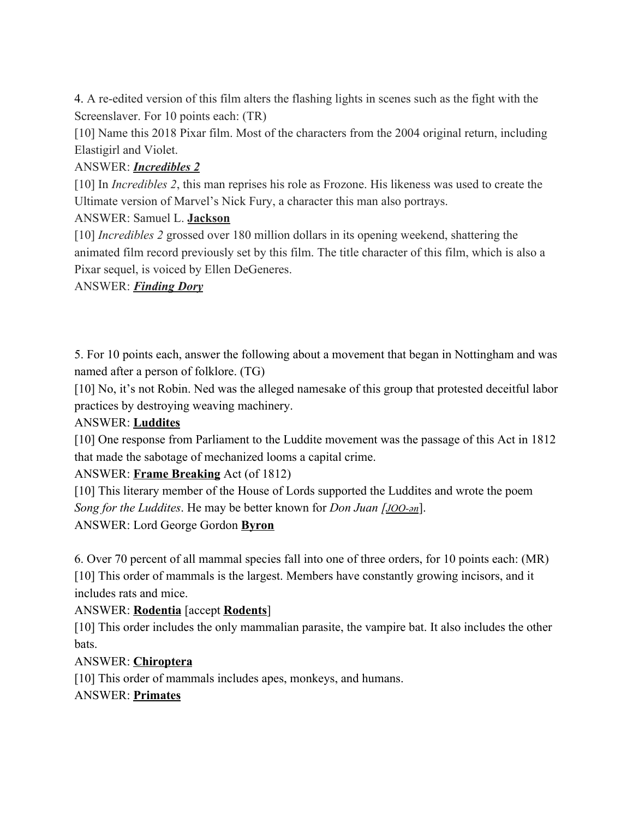4. A re-edited version of this film alters the flashing lights in scenes such as the fight with the Screenslaver. For 10 points each: (TR)

[10] Name this 2018 Pixar film. Most of the characters from the 2004 original return, including Elastigirl and Violet.

## ANSWER: *Incredibles 2*

[10] In *Incredibles 2*, this man reprises his role as Frozone. His likeness was used to create the Ultimate version of Marvel's Nick Fury, a character this man also portrays.

## ANSWER: Samuel L. **Jackson**

[10] *Incredibles 2* grossed over 180 million dollars in its opening weekend, shattering the animated film record previously set by this film. The title character of this film, which is also a Pixar sequel, is voiced by Ellen DeGeneres.

## ANSWER: *Finding Dory*

5. For 10 points each, answer the following about a movement that began in Nottingham and was named after a person of folklore. (TG)

[10] No, it's not Robin. Ned was the alleged namesake of this group that protested deceitful labor practices by destroying weaving machinery.

## ANSWER: **Luddites**

[10] One response from Parliament to the Luddite movement was the passage of this Act in 1812 that made the sabotage of mechanized looms a capital crime.

## ANSWER: **Frame Breaking** Act (of 1812)

[10] This literary member of the House of Lords supported the Luddites and wrote the poem *Song for the Luddites*. He may be better known for *Don Juan [[JOO-ən](https://en.wikipedia.org/wiki/Help:Pronunciation_respelling_key)*].

ANSWER: Lord George Gordon **Byron**

6. Over 70 percent of all mammal species fall into one of three orders, for 10 points each: (MR) [10] This order of mammals is the largest. Members have constantly growing incisors, and it includes rats and mice.

## ANSWER: **Rodentia** [accept **Rodents**]

[10] This order includes the only mammalian parasite, the vampire bat. It also includes the other bats.

## ANSWER: **Chiroptera**

[10] This order of mammals includes apes, monkeys, and humans.

## ANSWER: **Primates**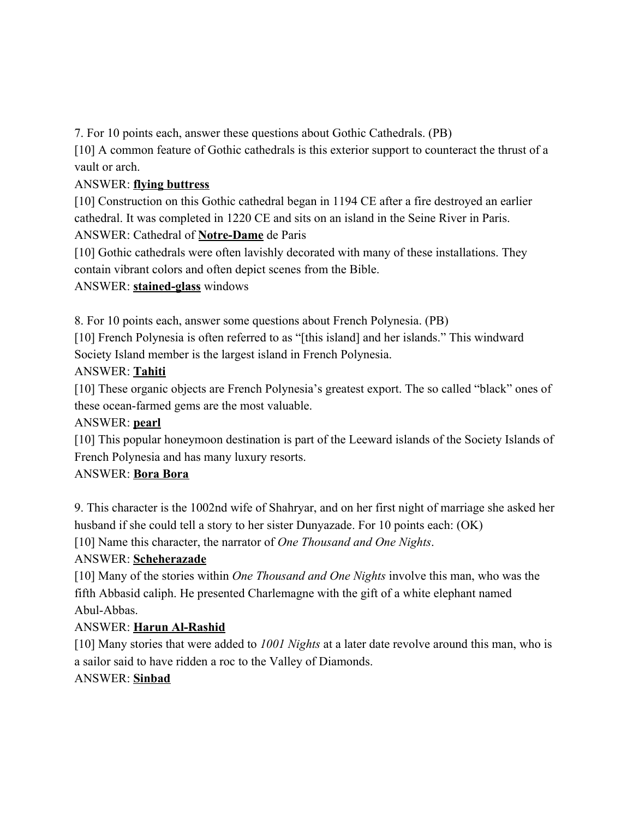7. For 10 points each, answer these questions about Gothic Cathedrals. (PB)

[10] A common feature of Gothic cathedrals is this exterior support to counteract the thrust of a vault or arch.

# ANSWER: **flying buttress**

[10] Construction on this Gothic cathedral began in 1194 CE after a fire destroyed an earlier cathedral. It was completed in 1220 CE and sits on an island in the Seine River in Paris.

# ANSWER: Cathedral of **Notre-Dame** de Paris

[10] Gothic cathedrals were often lavishly decorated with many of these installations. They contain vibrant colors and often depict scenes from the Bible.

## ANSWER: **stained-glass** windows

8. For 10 points each, answer some questions about French Polynesia. (PB)

[10] French Polynesia is often referred to as "[this island] and her islands." This windward Society Island member is the largest island in French Polynesia.

# ANSWER: **Tahiti**

[10] These organic objects are French Polynesia's greatest export. The so called "black" ones of these ocean-farmed gems are the most valuable.

# ANSWER: **pearl**

[10] This popular honeymoon destination is part of the Leeward islands of the Society Islands of French Polynesia and has many luxury resorts.

## ANSWER: **Bora Bora**

9. This character is the 1002nd wife of Shahryar, and on her first night of marriage she asked her husband if she could tell a story to her sister Dunyazade. For 10 points each: (OK) [10] Name this character, the narrator of *One Thousand and One Nights*.

# ANSWER: **Scheherazade**

[10] Many of the stories within *One Thousand and One Nights* involve this man, who was the fifth Abbasid caliph. He presented Charlemagne with the gift of a white elephant named Abul-Abbas.

## ANSWER: **Harun Al-Rashid**

[10] Many stories that were added to *1001 Nights* at a later date revolve around this man, who is a sailor said to have ridden a roc to the Valley of Diamonds.

## ANSWER: **Sinbad**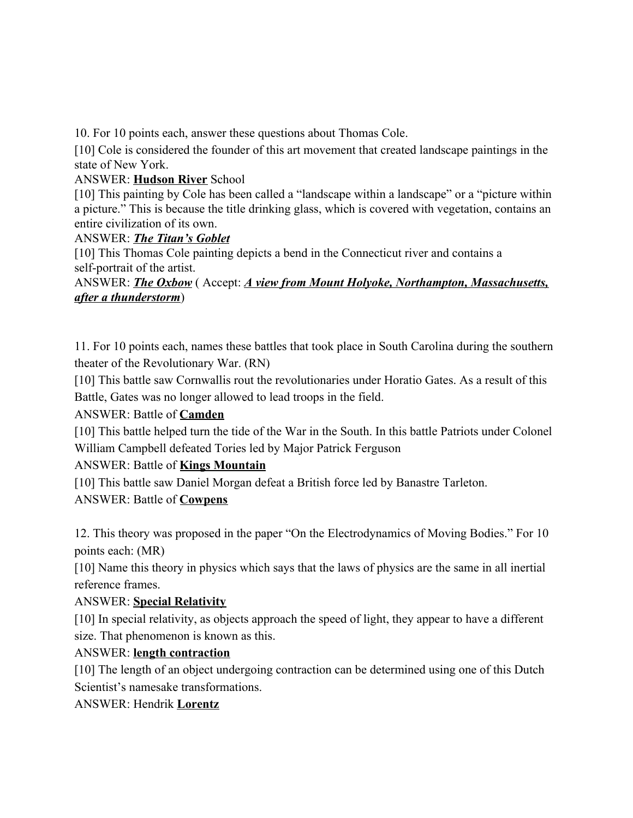10. For 10 points each, answer these questions about Thomas Cole.

[10] Cole is considered the founder of this art movement that created landscape paintings in the state of New York.

#### ANSWER: **Hudson River** School

[10] This painting by Cole has been called a "landscape within a landscape" or a "picture within a picture." This is because the title drinking glass, which is covered with vegetation, contains an entire civilization of its own.

#### ANSWER: *The Titan's Goblet*

[10] This Thomas Cole painting depicts a bend in the Connecticut river and contains a self-portrait of the artist.

ANSWER: *The Oxbow* ( Accept: *A view from Mount Holyoke, Northampton, Massachusetts, after a thunderstorm*)

11. For 10 points each, names these battles that took place in South Carolina during the southern theater of the Revolutionary War. (RN)

[10] This battle saw Cornwallis rout the revolutionaries under Horatio Gates. As a result of this Battle, Gates was no longer allowed to lead troops in the field.

#### ANSWER: Battle of **Camden**

[10] This battle helped turn the tide of the War in the South. In this battle Patriots under Colonel William Campbell defeated Tories led by Major Patrick Ferguson

## ANSWER: Battle of **Kings Mountain**

[10] This battle saw Daniel Morgan defeat a British force led by Banastre Tarleton.

## ANSWER: Battle of **Cowpens**

12. This theory was proposed in the paper "On the Electrodynamics of Moving Bodies." For 10 points each: (MR)

[10] Name this theory in physics which says that the laws of physics are the same in all inertial reference frames.

## ANSWER: **Special Relativity**

[10] In special relativity, as objects approach the speed of light, they appear to have a different size. That phenomenon is known as this.

## ANSWER: **length contraction**

[10] The length of an object undergoing contraction can be determined using one of this Dutch Scientist's namesake transformations.

## ANSWER: Hendrik **Lorentz**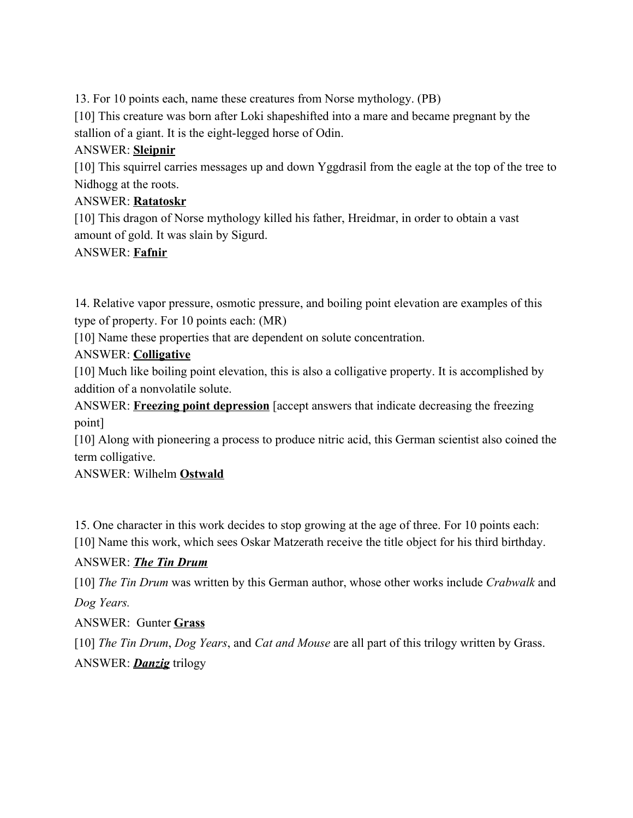13. For 10 points each, name these creatures from Norse mythology. (PB)

[10] This creature was born after Loki shapeshifted into a mare and became pregnant by the stallion of a giant. It is the eight-legged horse of Odin.

## ANSWER: **Sleipnir**

[10] This squirrel carries messages up and down Yggdrasil from the eagle at the top of the tree to Nidhogg at the roots.

# ANSWER: **Ratatoskr**

[10] This dragon of Norse mythology killed his father, Hreidmar, in order to obtain a vast amount of gold. It was slain by Sigurd.

# ANSWER: **Fafnir**

14. Relative vapor pressure, osmotic pressure, and boiling point elevation are examples of this type of property. For 10 points each: (MR)

[10] Name these properties that are dependent on solute concentration.

# ANSWER: **Colligative**

[10] Much like boiling point elevation, this is also a colligative property. It is accomplished by addition of a nonvolatile solute.

ANSWER: **Freezing point depression** [accept answers that indicate decreasing the freezing point]

[10] Along with pioneering a process to produce nitric acid, this German scientist also coined the term colligative.

## ANSWER: Wilhelm **Ostwald**

15. One character in this work decides to stop growing at the age of three. For 10 points each: [10] Name this work, which sees Oskar Matzerath receive the title object for his third birthday.

## ANSWER: *The Tin Drum*

[10] *The Tin Drum* was written by this German author, whose other works include *Crabwalk* and *Dog Years.*

## ANSWER: Gunter **Grass**

[10] *The Tin Drum*, *Dog Years*, and *Cat and Mouse* are all part of this trilogy written by Grass. ANSWER: *Danzig* trilogy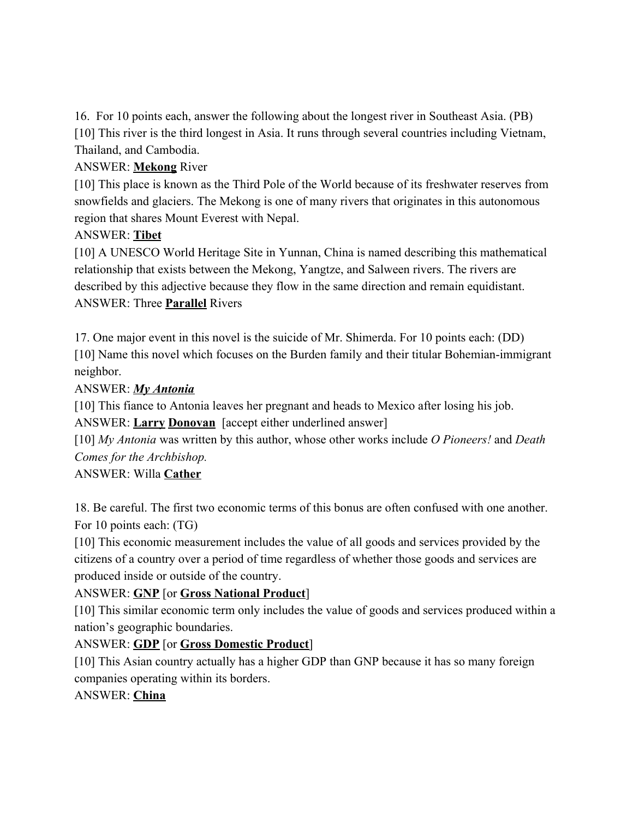16. For 10 points each, answer the following about the longest river in Southeast Asia. (PB) [10] This river is the third longest in Asia. It runs through several countries including Vietnam, Thailand, and Cambodia.

## ANSWER: **Mekong** River

[10] This place is known as the Third Pole of the World because of its freshwater reserves from snowfields and glaciers. The Mekong is one of many rivers that originates in this autonomous region that shares Mount Everest with Nepal.

## ANSWER: **Tibet**

[10] A UNESCO World Heritage Site in Yunnan, China is named describing this mathematical relationship that exists between the Mekong, Yangtze, and Salween rivers. The rivers are described by this adjective because they flow in the same direction and remain equidistant. ANSWER: Three **Parallel** Rivers

17. One major event in this novel is the suicide of Mr. Shimerda. For 10 points each: (DD) [10] Name this novel which focuses on the Burden family and their titular Bohemian-immigrant neighbor.

## ANSWER: *My Antonia*

[10] This fiance to Antonia leaves her pregnant and heads to Mexico after losing his job. ANSWER: **Larry Donovan** [accept either underlined answer]

[10] *My Antonia* was written by this author, whose other works include *O Pioneers!* and *Death Comes for the Archbishop.*

## ANSWER: Willa **Cather**

18. Be careful. The first two economic terms of this bonus are often confused with one another. For 10 points each: (TG)

[10] This economic measurement includes the value of all goods and services provided by the citizens of a country over a period of time regardless of whether those goods and services are produced inside or outside of the country.

## ANSWER: **GNP** [or **Gross National Product**]

[10] This similar economic term only includes the value of goods and services produced within a nation's geographic boundaries.

## ANSWER: **GDP** [or **Gross Domestic Product**]

[10] This Asian country actually has a higher GDP than GNP because it has so many foreign companies operating within its borders.

## ANSWER: **China**